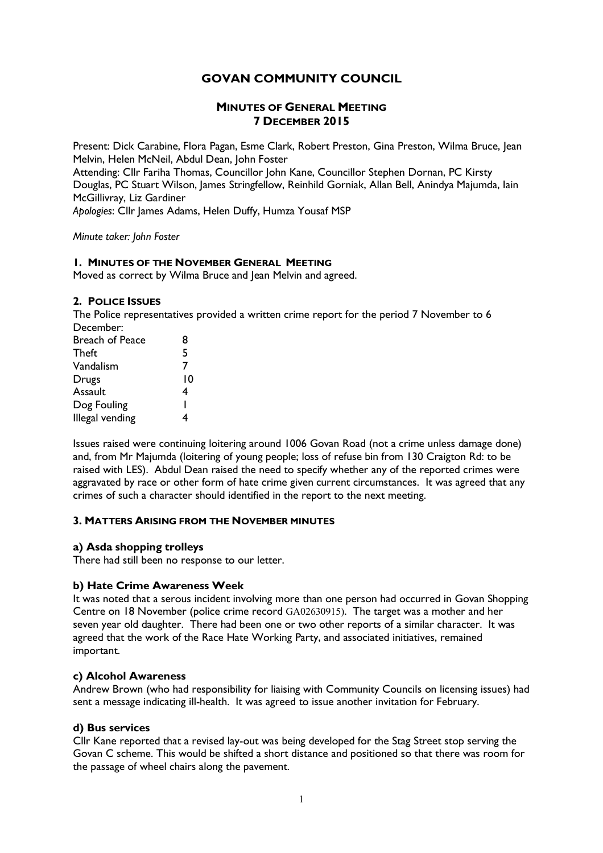# **GOVAN COMMUNITY COUNCIL**

## **MINUTES OF GENERAL MEETING 7 DECEMBER 2015**

Present: Dick Carabine, Flora Pagan, Esme Clark, Robert Preston, Gina Preston, Wilma Bruce, Jean Melvin, Helen McNeil, Abdul Dean, John Foster Attending: Cllr Fariha Thomas, Councillor John Kane, Councillor Stephen Dornan, PC Kirsty

Douglas, PC Stuart Wilson, James Stringfellow, Reinhild Gorniak, Allan Bell, Anindya Majumda, Iain McGillivray, Liz Gardiner

*Apologies*: Cllr James Adams, Helen Duffy, Humza Yousaf MSP

*Minute taker: John Foster*

## **1. MINUTES OF THE NOVEMBER GENERAL MEETING**

Moved as correct by Wilma Bruce and Jean Melvin and agreed.

### **2. POLICE ISSUES**

The Police representatives provided a written crime report for the period 7 November to 6 December:

| Breach of Peace | 8  |
|-----------------|----|
| Theft           | 5  |
| Vandalism       | 7  |
| Drugs           | 10 |
| Assault         | 4  |
| Dog Fouling     |    |
| Illegal vending |    |
|                 |    |

Issues raised were continuing loitering around 1006 Govan Road (not a crime unless damage done) and, from Mr Majumda (loitering of young people; loss of refuse bin from 130 Craigton Rd: to be raised with LES). Abdul Dean raised the need to specify whether any of the reported crimes were aggravated by race or other form of hate crime given current circumstances. It was agreed that any crimes of such a character should identified in the report to the next meeting.

## **3. MATTERS ARISING FROM THE NOVEMBER MINUTES**

## **a) Asda shopping trolleys**

There had still been no response to our letter.

## **b) Hate Crime Awareness Week**

It was noted that a serous incident involving more than one person had occurred in Govan Shopping Centre on 18 November (police crime record GA02630915). The target was a mother and her seven year old daughter. There had been one or two other reports of a similar character. It was agreed that the work of the Race Hate Working Party, and associated initiatives, remained important.

#### **c) Alcohol Awareness**

Andrew Brown (who had responsibility for liaising with Community Councils on licensing issues) had sent a message indicating ill-health. It was agreed to issue another invitation for February.

#### **d) Bus services**

Cllr Kane reported that a revised lay-out was being developed for the Stag Street stop serving the Govan C scheme. This would be shifted a short distance and positioned so that there was room for the passage of wheel chairs along the pavement.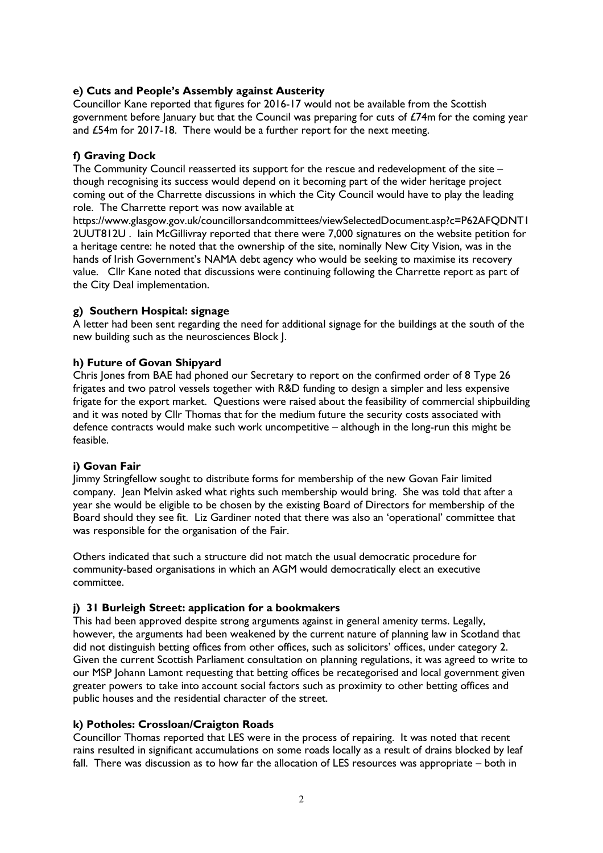## **e) Cuts and People's Assembly against Austerity**

Councillor Kane reported that figures for 2016-17 would not be available from the Scottish government before January but that the Council was preparing for cuts of £74m for the coming year and £54m for 2017-18. There would be a further report for the next meeting.

## **f) Graving Dock**

The Community Council reasserted its support for the rescue and redevelopment of the site – though recognising its success would depend on it becoming part of the wider heritage project coming out of the Charrette discussions in which the City Council would have to play the leading role. The Charrette report was now available at

https://www.glasgow.gov.uk/councillorsandcommittees/viewSelectedDocument.asp?c=P62AFQDNT1 2UUT812U . Iain McGillivray reported that there were 7,000 signatures on the website petition for a heritage centre: he noted that the ownership of the site, nominally New City Vision, was in the hands of Irish Government's NAMA debt agency who would be seeking to maximise its recovery value. Cllr Kane noted that discussions were continuing following the Charrette report as part of the City Deal implementation.

### **g) Southern Hospital: signage**

A letter had been sent regarding the need for additional signage for the buildings at the south of the new building such as the neurosciences Block J.

### **h) Future of Govan Shipyard**

Chris Jones from BAE had phoned our Secretary to report on the confirmed order of 8 Type 26 frigates and two patrol vessels together with R&D funding to design a simpler and less expensive frigate for the export market. Questions were raised about the feasibility of commercial shipbuilding and it was noted by Cllr Thomas that for the medium future the security costs associated with defence contracts would make such work uncompetitive – although in the long-run this might be feasible.

#### **i) Govan Fair**

Jimmy Stringfellow sought to distribute forms for membership of the new Govan Fair limited company. Jean Melvin asked what rights such membership would bring. She was told that after a year she would be eligible to be chosen by the existing Board of Directors for membership of the Board should they see fit. Liz Gardiner noted that there was also an 'operational' committee that was responsible for the organisation of the Fair.

Others indicated that such a structure did not match the usual democratic procedure for community-based organisations in which an AGM would democratically elect an executive committee.

## **j) 31 Burleigh Street: application for a bookmakers**

This had been approved despite strong arguments against in general amenity terms. Legally, however, the arguments had been weakened by the current nature of planning law in Scotland that did not distinguish betting offices from other offices, such as solicitors' offices, under category 2. Given the current Scottish Parliament consultation on planning regulations, it was agreed to write to our MSP Johann Lamont requesting that betting offices be recategorised and local government given greater powers to take into account social factors such as proximity to other betting offices and public houses and the residential character of the street.

## **k) Potholes: Crossloan/Craigton Roads**

Councillor Thomas reported that LES were in the process of repairing. It was noted that recent rains resulted in significant accumulations on some roads locally as a result of drains blocked by leaf fall. There was discussion as to how far the allocation of LES resources was appropriate – both in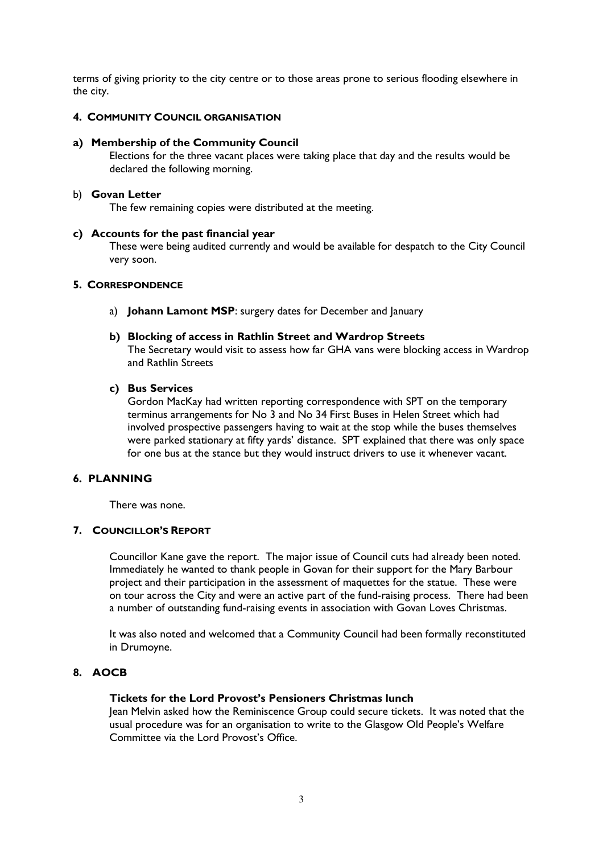terms of giving priority to the city centre or to those areas prone to serious flooding elsewhere in the city.

### **4. COMMUNITY COUNCIL ORGANISATION**

#### **a) Membership of the Community Council**

Elections for the three vacant places were taking place that day and the results would be declared the following morning.

#### b) **Govan Letter**

The few remaining copies were distributed at the meeting.

#### **c) Accounts for the past financial year**

These were being audited currently and would be available for despatch to the City Council very soon.

#### **5. CORRESPONDENCE**

a) **Johann Lamont MSP**: surgery dates for December and January

#### **b) Blocking of access in Rathlin Street and Wardrop Streets**

The Secretary would visit to assess how far GHA vans were blocking access in Wardrop and Rathlin Streets

#### **c) Bus Services**

Gordon MacKay had written reporting correspondence with SPT on the temporary terminus arrangements for No 3 and No 34 First Buses in Helen Street which had involved prospective passengers having to wait at the stop while the buses themselves were parked stationary at fifty yards' distance. SPT explained that there was only space for one bus at the stance but they would instruct drivers to use it whenever vacant.

#### **6. PLANNING**

There was none.

#### **7. COUNCILLOR'S REPORT**

Councillor Kane gave the report. The major issue of Council cuts had already been noted. Immediately he wanted to thank people in Govan for their support for the Mary Barbour project and their participation in the assessment of maquettes for the statue. These were on tour across the City and were an active part of the fund-raising process. There had been a number of outstanding fund-raising events in association with Govan Loves Christmas.

It was also noted and welcomed that a Community Council had been formally reconstituted in Drumoyne.

### **8. AOCB**

### **Tickets for the Lord Provost's Pensioners Christmas lunch**

Jean Melvin asked how the Reminiscence Group could secure tickets. It was noted that the usual procedure was for an organisation to write to the Glasgow Old People's Welfare Committee via the Lord Provost's Office.